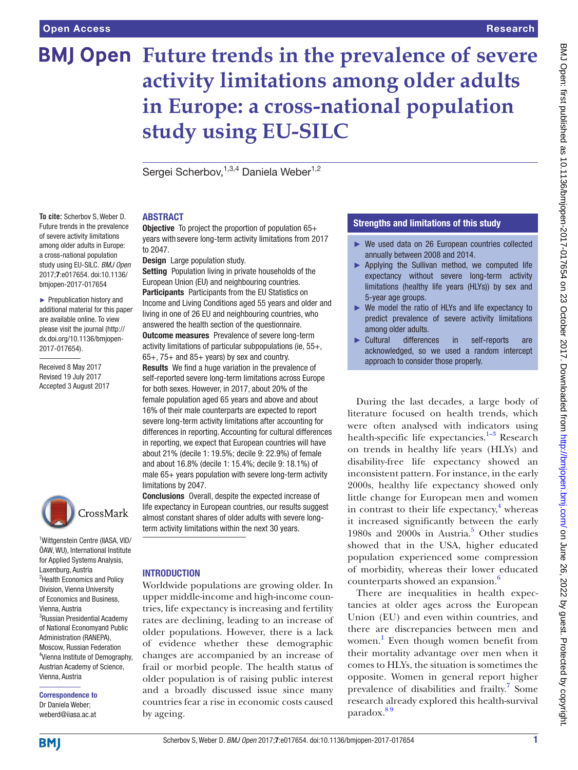**To cite:** Scherbov S, Weber D. Future trends in the prevalence of severe activity limitations among older adults in Europe: a cross-national population study using EU-SILC. *BMJ Open* 2017;7:e017654. doi:10.1136/ bmjopen-2017-017654 ► Prepublication history and additional material for this paper are available online. To view please visit the journal ([http://](http://dx.doi.org/10.1136/bmjopen-2017-017654) [dx.doi.org/10.1136/bmjopen-](http://dx.doi.org/10.1136/bmjopen-2017-017654)

[2017-017654\)](http://dx.doi.org/10.1136/bmjopen-2017-017654).

Received 8 May 2017 Revised 19 July 2017 Accepted 3 August 2017

<sup>1</sup>Wittgenstein Centre (IIASA, VID/ ÖAW, WU), International Institute for Applied Systems Analysis, Laxenburg, Austria <sup>2</sup>Health Economics and Policy Division, Vienna University of Economics and Business,

CrossMark

3 Russian Presidential Academy of National Economyand Public Administration (RANEPA), Moscow, Russian Federation 4 Vienna Institute of Demography, Austrian Academy of Science,

# **BMJ Open Future trends in the prevalence of severe activity limitations among older adults in Europe: a cross-national population study using EU-SILC**

Sergei Scherbov.<sup>1,3,4</sup> Daniela Weber<sup>1,2</sup>

#### **ABSTRACT**

Objective To project the proportion of population 65+ years with severe long-term activity limitations from 2017 to 2047.

Design Large population study.

Setting Population living in private households of the European Union (EU) and neighbouring countries. **Participants** Participants from the EU Statistics on Income and Living Conditions aged 55 years and older and living in one of 26 EU and neighbouring countries, who answered the health section of the questionnaire. **Outcome measures** Prevalence of severe long-term activity limitations of particular subpopulations (ie, 55+,  $65+$ ,  $75+$  and  $85+$  years) by sex and country. Results We find a huge variation in the prevalence of self-reported severe long-term limitations across Europe for both sexes. However, in 2017, about 20% of the female population aged 65 years and above and about 16% of their male counterparts are expected to report severe long-term activity limitations after accounting for differences in reporting. Accounting for cultural differences in reporting, we expect that European countries will have about 21% (decile 1: 19.5%; decile 9: 22.9%) of female and about 16.8% (decile 1: 15.4%; decile 9: 18.1%) of male 65+ years population with severe long-term activity limitations by 2047.

Conclusions Overall, despite the expected increase of life expectancy in European countries, our results suggest almost constant shares of older adults with severe longterm activity limitations within the next 30 years.

#### **INTRODUCTION**

Worldwide populations are growing older. In upper middle-income and high-income countries, life expectancy is increasing and fertility rates are declining, leading to an increase of older populations. However, there is a lack of evidence whether these demographic changes are accompanied by an increase of frail or morbid people. The health status of older population is of raising public interest and a broadly discussed issue since many countries fear a rise in economic costs caused by ageing.

# Strengths and limitations of this study

- ► We used data on 26 European countries collected annually between 2008 and 2014.
- ▶ Applying the Sullivan method, we computed life expectancy without severe long-term activity limitations (healthy life years (HLYs)) by sex and 5-year age groups.
- ► We model the ratio of HLYs and life expectancy to predict prevalence of severe activity limitations among older adults.
- ► Cultural differences in self-reports are acknowledged, so we used a random intercept approach to consider those properly.

During the last decades, a large body of literature focused on health trends, which were often analysed with indicators using health-specific life expectancies.<sup>[1–3](#page-5-0)</sup> Research on trends in healthy life years (HLYs) and disability-free life expectancy showed an inconsistent pattern. For instance, in the early 2000s, healthy life expectancy showed only little change for European men and women in contrast to their life expectancy, $4$  whereas it increased significantly between the early 1980s and 2000s in Austria.<sup>[5](#page-5-2)</sup> Other studies showed that in the USA, higher educated population experienced some compression of morbidity, whereas their lower educated counterparts showed an expansion.<sup>6</sup>

There are inequalities in health expectancies at older ages across the European Union (EU) and even within countries, and there are discrepancies between men and women. [1](#page-5-0) Even though women benefit from their mortality advantage over men when it comes to HLYs, the situation is sometimes the opposite. Women in general report higher prevalence of disabilities and frailty.<sup>[7](#page-5-4)</sup> Some research already explored this health-survival paradox.[8 9](#page-5-5)

# **BMI**

Vienna, Austria

Vienna, Austria

Correspondence to Dr Daniela Weber; weberd@iiasa.ac.at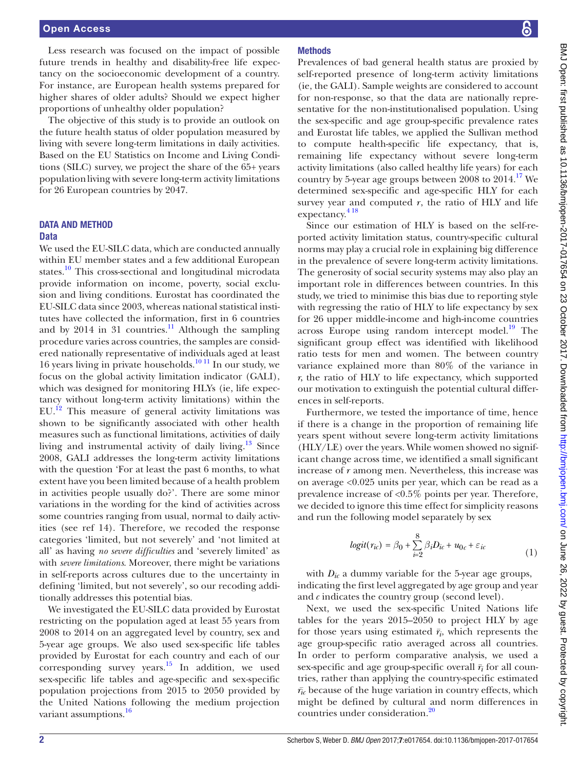# Open Access

Less research was focused on the impact of possible future trends in healthy and disability-free life expectancy on the socioeconomic development of a country. For instance, are European health systems prepared for higher shares of older adults? Should we expect higher proportions of unhealthy older population?

The objective of this study is to provide an outlook on the future health status of older population measured by living with severe long-term limitations in daily activities. Based on the EU Statistics on Income and Living Conditions (SILC) survey, we project the share of the 65+ years populationliving with severe long-term activity limitations for 26 European countries by 2047.

#### DATA AND METHOD **Data**

We used the EU-SILC data, which are conducted annually within EU member states and a few additional European states.<sup>10</sup> This cross-sectional and longitudinal microdata provide information on income, poverty, social exclusion and living conditions. Eurostat has coordinated the EU-SILC data since 2003, whereas national statistical institutes have collected the information, first in 6 countries and by 2014 in 31 countries.<sup>11</sup> Although the sampling procedure varies across countries, the samples are considered nationally representative of individuals aged at least 16 years living in private households.<sup>10 11</sup> In our study, we focus on the global activity limitation indicator (GALI), which was designed for monitoring HLYs (ie, life expectancy without long-term activity limitations) within the  $EU<sup>12</sup>$ . This measure of general activity limitations was shown to be significantly associated with other health measures such as functional limitations, activities of daily living and instrumental activity of daily living. $13$  Since 2008, GALI addresses the long-term activity limitations with the question 'For at least the past 6 months, to what extent have you been limited because of a health problem in activities people usually do?'. There are some minor variations in the wording for the kind of activities across some countries ranging from usual, normal to daily activities (see ref [14\)](#page-5-10). Therefore, we recoded the response categories 'limited, but not severely' and 'not limited at all' as having *no severe difficulties* and 'severely limited' as with *severe limitations*. Moreover, there might be variations in self-reports across cultures due to the uncertainty in defining 'limited, but not severely', so our recoding additionally addresses this potential bias.

We investigated the EU-SILC data provided by Eurostat restricting on the population aged at least 55 years from 2008 to 2014 on an aggregated level by country, sex and 5-year age groups. We also used sex-specific life tables provided by Eurostat for each country and each of our  $corresponding$  survey years.<sup>15</sup> In addition, we used sex-specific life tables and age-specific and sex-specific population projections from 2015 to 2050 provided by the United Nations following the medium projection variant assumptions.<sup>[16](#page-5-12)</sup>

#### **Methods**

Prevalences of bad general health status are proxied by self-reported presence of long-term activity limitations (ie, the GALI). Sample weights are considered to account for non-response, so that the data are nationally representative for the non-institutionalised population. Using the sex-specific and age group-specific prevalence rates and Eurostat life tables, we applied the Sullivan method to compute health-specific life expectancy, that is, remaining life expectancy without severe long-term activity limitations (also called healthy life years) for each country by 5-year age groups between 2008 to  $2014$ .<sup>17</sup> We determined sex-specific and age-specific HLY for each survey year and computed  $r$ , the ratio of HLY and life expectancy.<sup>418</sup>

Since our estimation of HLY is based on the self-reported activity limitation status, country-specific cultural norms may play a crucial role in explaining big difference in the prevalence of severe long-term activity limitations. The generosity of social security systems may also play an important role in differences between countries. In this study, we tried to minimise this bias due to reporting style with regressing the ratio of HLY to life expectancy by sex for 26 upper middle-income and high-income countries across Europe using random intercept model.<sup>19</sup> The significant group effect was identified with likelihood ratio tests for men and women. The between country variance explained more than 80% of the variance in *r*, the ratio of HLY to life expectancy, which supported our motivation to extinguish the potential cultural differences in self-reports.

Furthermore, we tested the importance of time, hence if there is a change in the proportion of remaining life years spent without severe long-term activity limitations (HLY/LE) over the years. While women showed no significant change across time, we identified a small significant increase of *r* among men. Nevertheless, this increase was on average <0.025 units per year, which can be read as a prevalence increase of <0.5% points per year. Therefore, we decided to ignore this time effect for simplicity reasons and run the following model separately by sex

$$
logit(r_{ic}) = \beta_0 + \sum_{i=2}^{8} \beta_i D_{ic} + u_{0c} + \varepsilon_{ic}
$$
 (1)

with  $D_{ic}$  a dummy variable for the 5-year age groups, indicating the first level aggregated by age group and year and *c* indicates the country group (second level).

Next, we used the sex-specific United Nations life tables for the years 2015–2050 to project HLY by age for those years using estimated  $\bar{r}_i$ , which represents the age group-specific ratio averaged across all countries. In order to perform comparative analysis, we used a sex-specific and age group-specific overall  $\bar{r}_i$  for all countries, rather than applying the country-specific estimated  $\bar{r}_{i\ell}$  because of the huge variation in country effects, which might be defined by cultural and norm differences in countries under consideration.[20](#page-6-1)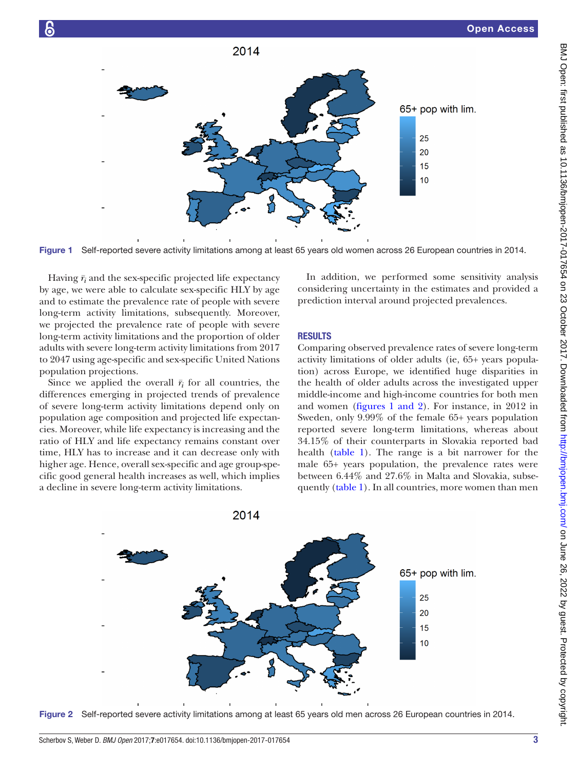

<span id="page-2-0"></span>

Having  $\bar{r}_i$  and the sex-specific projected life expectancy by age, we were able to calculate sex-specific HLY by age and to estimate the prevalence rate of people with severe long-term activity limitations, subsequently. Moreover, we projected the prevalence rate of people with severe long-term activity limitations and the proportion of older adults with severe long-term activity limitations from 2017 to 2047 using age-specific and sex-specific United Nations population projections.

Since we applied the overall  $\bar{r}_i$  for all countries, the differences emerging in projected trends of prevalence of severe long-term activity limitations depend only on population age composition and projected life expectancies. Moreover, while life expectancy is increasing and the ratio of HLY and life expectancy remains constant over time, HLY has to increase and it can decrease only with higher age. Hence, overall sex-specific and age group-specific good general health increases as well, which implies a decline in severe long-term activity limitations.

In addition, we performed some sensitivity analysis considering uncertainty in the estimates and provided a prediction interval around projected prevalences.

# **RESULTS**

Comparing observed prevalence rates of severe long-term activity limitations of older adults (ie, 65+ years population) across Europe, we identified huge disparities in the health of older adults across the investigated upper middle-income and high-income countries for both men and women (figures [1 and 2\)](#page-2-0). For instance, in 2012 in Sweden, only 9.99% of the female 65+ years population reported severe long-term limitations, whereas about 34.15% of their counterparts in Slovakia reported bad health [\(table](#page-3-0) 1). The range is a bit narrower for the male 65+ years population, the prevalence rates were between 6.44% and 27.6% in Malta and Slovakia, subsequently [\(table](#page-3-0) 1). In all countries, more women than men



Figure 2 Self-reported severe activity limitations among at least 65 years old men across 26 European countries in 2014.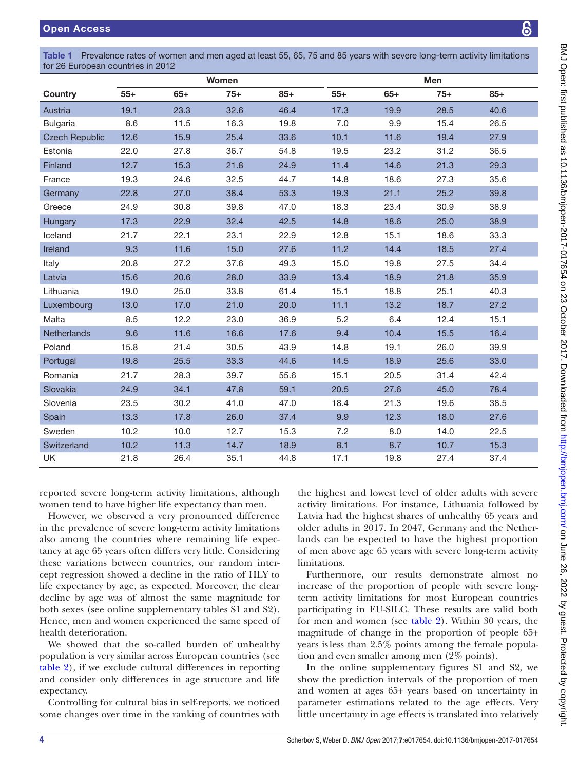<span id="page-3-0"></span>Table 1 Prevalence rates of women and men aged at least 55, 65, 75 and 85 years with severe long-term activity limitations for 26 European countries in 2012

|                       |       | Women |       |       | Men   |       |       |       |  |
|-----------------------|-------|-------|-------|-------|-------|-------|-------|-------|--|
| Country               | $55+$ | $65+$ | $75+$ | $85+$ | $55+$ | $65+$ | $75+$ | $85+$ |  |
| Austria               | 19.1  | 23.3  | 32.6  | 46.4  | 17.3  | 19.9  | 28.5  | 40.6  |  |
| <b>Bulgaria</b>       | 8.6   | 11.5  | 16.3  | 19.8  | 7.0   | 9.9   | 15.4  | 26.5  |  |
| <b>Czech Republic</b> | 12.6  | 15.9  | 25.4  | 33.6  | 10.1  | 11.6  | 19.4  | 27.9  |  |
| Estonia               | 22.0  | 27.8  | 36.7  | 54.8  | 19.5  | 23.2  | 31.2  | 36.5  |  |
| Finland               | 12.7  | 15.3  | 21.8  | 24.9  | 11.4  | 14.6  | 21.3  | 29.3  |  |
| France                | 19.3  | 24.6  | 32.5  | 44.7  | 14.8  | 18.6  | 27.3  | 35.6  |  |
| Germany               | 22.8  | 27.0  | 38.4  | 53.3  | 19.3  | 21.1  | 25.2  | 39.8  |  |
| Greece                | 24.9  | 30.8  | 39.8  | 47.0  | 18.3  | 23.4  | 30.9  | 38.9  |  |
| Hungary               | 17.3  | 22.9  | 32.4  | 42.5  | 14.8  | 18.6  | 25.0  | 38.9  |  |
| Iceland               | 21.7  | 22.1  | 23.1  | 22.9  | 12.8  | 15.1  | 18.6  | 33.3  |  |
| Ireland               | 9.3   | 11.6  | 15.0  | 27.6  | 11.2  | 14.4  | 18.5  | 27.4  |  |
| Italy                 | 20.8  | 27.2  | 37.6  | 49.3  | 15.0  | 19.8  | 27.5  | 34.4  |  |
| Latvia                | 15.6  | 20.6  | 28.0  | 33.9  | 13.4  | 18.9  | 21.8  | 35.9  |  |
| Lithuania             | 19.0  | 25.0  | 33.8  | 61.4  | 15.1  | 18.8  | 25.1  | 40.3  |  |
| Luxembourg            | 13.0  | 17.0  | 21.0  | 20.0  | 11.1  | 13.2  | 18.7  | 27.2  |  |
| Malta                 | 8.5   | 12.2  | 23.0  | 36.9  | 5.2   | 6.4   | 12.4  | 15.1  |  |
| Netherlands           | 9.6   | 11.6  | 16.6  | 17.6  | 9.4   | 10.4  | 15.5  | 16.4  |  |
| Poland                | 15.8  | 21.4  | 30.5  | 43.9  | 14.8  | 19.1  | 26.0  | 39.9  |  |
| Portugal              | 19.8  | 25.5  | 33.3  | 44.6  | 14.5  | 18.9  | 25.6  | 33.0  |  |
| Romania               | 21.7  | 28.3  | 39.7  | 55.6  | 15.1  | 20.5  | 31.4  | 42.4  |  |
| Slovakia              | 24.9  | 34.1  | 47.8  | 59.1  | 20.5  | 27.6  | 45.0  | 78.4  |  |
| Slovenia              | 23.5  | 30.2  | 41.0  | 47.0  | 18.4  | 21.3  | 19.6  | 38.5  |  |
| Spain                 | 13.3  | 17.8  | 26.0  | 37.4  | 9.9   | 12.3  | 18.0  | 27.6  |  |
| Sweden                | 10.2  | 10.0  | 12.7  | 15.3  | 7.2   | 8.0   | 14.0  | 22.5  |  |
| Switzerland           | 10.2  | 11.3  | 14.7  | 18.9  | 8.1   | 8.7   | 10.7  | 15.3  |  |
| UK                    | 21.8  | 26.4  | 35.1  | 44.8  | 17.1  | 19.8  | 27.4  | 37.4  |  |

reported severe long-term activity limitations, although women tend to have higher life expectancy than men.

However, we observed a very pronounced difference in the prevalence of severe long-term activity limitations also among the countries where remaining life expectancy at age 65 years often differs very little. Considering these variations between countries, our random intercept regression showed a decline in the ratio of HLY to life expectancy by age, as expected. Moreover, the clear decline by age was of almost the same magnitude for both sexes (see online [supplementary tables S1 and S2](https://dx.doi.org/10.1136/bmjopen-2017-017654)). Hence, men and women experienced the same speed of health deterioration.

We showed that the so-called burden of unhealthy population is very similar across European countries (see [table](#page-4-0) 2), if we exclude cultural differences in reporting and consider only differences in age structure and life expectancy.

Controlling for cultural bias in self-reports, we noticed some changes over time in the ranking of countries with

the highest and lowest level of older adults with severe activity limitations. For instance, Lithuania followed by Latvia had the highest shares of unhealthy 65 years and older adults in 2017. In 2047, Germany and the Netherlands can be expected to have the highest proportion of men above age 65 years with severe long-term activity limitations.

Furthermore, our results demonstrate almost no increase of the proportion of people with severe longterm activity limitations for most European countries participating in EU-SILC. These results are valid both for men and women (see [table](#page-4-0) 2). Within 30 years, the magnitude of change in the proportion of people 65+ years isless than 2.5% points among the female population and even smaller among men (2% points).

In the online [supplementary figures S1 and S2,](https://dx.doi.org/10.1136/bmjopen-2017-017654) we show the prediction intervals of the proportion of men and women at ages 65+ years based on uncertainty in parameter estimations related to the age effects. Very little uncertainty in age effects is translated into relatively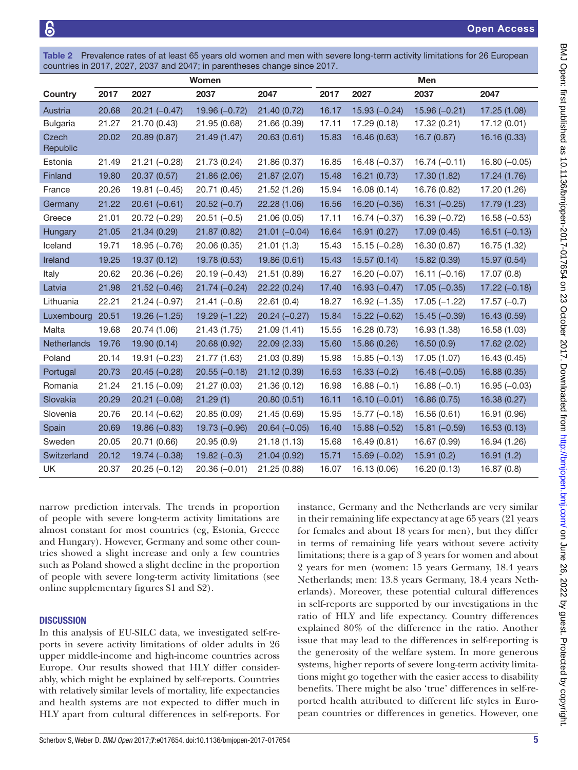<span id="page-4-0"></span>Table 2 Prevalence rates of at least 65 years old women and men with severe long-term activity limitations for 26 European countries in 2017, 2027, 2037 and 2047; in parentheses change since 2017.

|                   | Women |                 |                |                 |       | <b>Men</b>      |                 |                |  |
|-------------------|-------|-----------------|----------------|-----------------|-------|-----------------|-----------------|----------------|--|
| Country           | 2017  | 2027            | 2037           | 2047            | 2017  | 2027            | 2037            | 2047           |  |
| Austria           | 20.68 | $20.21(-0.47)$  | $19.96(-0.72)$ | 21.40 (0.72)    | 16.17 | $15.93(-0.24)$  | $15.96(-0.21)$  | 17.25 (1.08)   |  |
| <b>Bulgaria</b>   | 21.27 | 21.70 (0.43)    | 21.95 (0.68)   | 21.66 (0.39)    | 17.11 | 17.29 (0.18)    | 17.32 (0.21)    | 17.12 (0.01)   |  |
| Czech<br>Republic | 20.02 | 20.89 (0.87)    | 21.49 (1.47)   | 20.63 (0.61)    | 15.83 | 16.46 (0.63)    | 16.7(0.87)      | 16.16 (0.33)   |  |
| Estonia           | 21.49 | $21.21(-0.28)$  | 21.73 (0.24)   | 21.86 (0.37)    | 16.85 | $16.48(-0.37)$  | $16.74 (-0.11)$ | $16.80(-0.05)$ |  |
| Finland           | 19.80 | 20.37 (0.57)    | 21.86 (2.06)   | 21.87 (2.07)    | 15.48 | 16.21(0.73)     | 17.30 (1.82)    | 17.24 (1.76)   |  |
| France            | 20.26 | $19.81 (-0.45)$ | 20.71 (0.45)   | 21.52 (1.26)    | 15.94 | 16.08 (0.14)    | 16.76 (0.82)    | 17.20 (1.26)   |  |
| Germany           | 21.22 | $20.61(-0.61)$  | $20.52(-0.7)$  | 22.28 (1.06)    | 16.56 | $16.20 (-0.36)$ | $16.31(-0.25)$  | 17.79 (1.23)   |  |
| Greece            | 21.01 | $20.72(-0.29)$  | $20.51(-0.5)$  | 21.06 (0.05)    | 17.11 | $16.74 (-0.37)$ | $16.39(-0.72)$  | $16.58(-0.53)$ |  |
| Hungary           | 21.05 | 21.34 (0.29)    | 21.87 (0.82)   | $21.01 (-0.04)$ | 16.64 | 16.91 (0.27)    | 17.09 (0.45)    | $16.51(-0.13)$ |  |
| Iceland           | 19.71 | $18.95(-0.76)$  | 20.06 (0.35)   | 21.01(1.3)      | 15.43 | $15.15(-0.28)$  | 16.30 (0.87)    | 16.75 (1.32)   |  |
| Ireland           | 19.25 | 19.37 (0.12)    | 19.78 (0.53)   | 19.86 (0.61)    | 15.43 | 15.57(0.14)     | 15.82 (0.39)    | 15.97 (0.54)   |  |
| Italy             | 20.62 | $20.36(-0.26)$  | $20.19(-0.43)$ | 21.51 (0.89)    | 16.27 | $16.20 (-0.07)$ | $16.11 (-0.16)$ | 17.07(0.8)     |  |
| Latvia            | 21.98 | $21.52(-0.46)$  | $21.74(-0.24)$ | 22.22 (0.24)    | 17.40 | $16.93(-0.47)$  | $17.05 (-0.35)$ | $17.22(-0.18)$ |  |
| Lithuania         | 22.21 | $21.24(-0.97)$  | $21.41(-0.8)$  | 22.61(0.4)      | 18.27 | $16.92(-1.35)$  | $17.05(-1.22)$  | $17.57(-0.7)$  |  |
| Luxembourg        | 20.51 | $19.26(-1.25)$  | $19.29(-1.22)$ | $20.24 (-0.27)$ | 15.84 | $15.22(-0.62)$  | $15.45(-0.39)$  | 16.43 (0.59)   |  |
| Malta             | 19.68 | 20.74 (1.06)    | 21.43 (1.75)   | 21.09 (1.41)    | 15.55 | 16.28 (0.73)    | 16.93 (1.38)    | 16.58 (1.03)   |  |
| Netherlands       | 19.76 | 19.90 (0.14)    | 20.68 (0.92)   | 22.09 (2.33)    | 15.60 | 15.86 (0.26)    | 16.50(0.9)      | 17.62 (2.02)   |  |
| Poland            | 20.14 | $19.91 (-0.23)$ | 21.77 (1.63)   | 21.03 (0.89)    | 15.98 | $15.85(-0.13)$  | 17.05 (1.07)    | 16.43 (0.45)   |  |
| Portugal          | 20.73 | $20.45 (-0.28)$ | $20.55(-0.18)$ | 21.12 (0.39)    | 16.53 | $16.33(-0.2)$   | $16.48(-0.05)$  | 16.88 (0.35)   |  |
| Romania           | 21.24 | $21.15(-0.09)$  | 21.27 (0.03)   | 21.36 (0.12)    | 16.98 | $16.88(-0.1)$   | $16.88(-0.1)$   | $16.95(-0.03)$ |  |
| Slovakia          | 20.29 | $20.21 (-0.08)$ | 21.29(1)       | 20.80 (0.51)    | 16.11 | $16.10(-0.01)$  | 16.86 (0.75)    | 16.38 (0.27)   |  |
| Slovenia          | 20.76 | $20.14(-0.62)$  | 20.85 (0.09)   | 21.45 (0.69)    | 15.95 | $15.77(-0.18)$  | 16.56 (0.61)    | 16.91 (0.96)   |  |
| Spain             | 20.69 | $19.86(-0.83)$  | $19.73(-0.96)$ | $20.64 (-0.05)$ | 16.40 | $15.88(-0.52)$  | $15.81 (-0.59)$ | 16.53(0.13)    |  |
| Sweden            | 20.05 | 20.71 (0.66)    | 20.95 (0.9)    | 21.18 (1.13)    | 15.68 | 16.49 (0.81)    | 16.67 (0.99)    | 16.94 (1.26)   |  |
| Switzerland       | 20.12 | $19.74 (-0.38)$ | $19.82(-0.3)$  | 21.04 (0.92)    | 15.71 | $15.69(-0.02)$  | 15.91(0.2)      | 16.91(1.2)     |  |
| UK                | 20.37 | $20.25(-0.12)$  | $20.36(-0.01)$ | 21.25 (0.88)    | 16.07 | 16.13 (0.06)    | 16.20 (0.13)    | 16.87(0.8)     |  |

narrow prediction intervals. The trends in proportion of people with severe long-term activity limitations are almost constant for most countries (eg, Estonia, Greece and Hungary). However, Germany and some other countries showed a slight increase and only a few countries such as Poland showed a slight decline in the proportion of people with severe long-term activity limitations (see online [supplementary figures S1 and S2](https://dx.doi.org/10.1136/bmjopen-2017-017654)).

# **DISCUSSION**

In this analysis of EU-SILC data, we investigated self-reports in severe activity limitations of older adults in 26 upper middle-income and high-income countries across Europe. Our results showed that HLY differ considerably, which might be explained by self-reports. Countries with relatively similar levels of mortality, life expectancies and health systems are not expected to differ much in HLY apart from cultural differences in self-reports. For instance, Germany and the Netherlands are very similar in their remaining life expectancy at age 65 years (21 years for females and about 18 years for men), but they differ in terms of remaining life years without severe activity limitations; there is a gap of 3 years for women and about 2 years for men (women: 15 years Germany, 18.4 years Netherlands; men: 13.8 years Germany, 18.4 years Netherlands). Moreover, these potential cultural differences in self-reports are supported by our investigations in the ratio of HLY and life expectancy. Country differences explained 80% of the difference in the ratio. Another issue that may lead to the differences in self-reporting is the generosity of the welfare system. In more generous systems, higher reports of severe long-term activity limitations might go together with the easier access to disability benefits. There might be also 'true' differences in self-reported health attributed to different life styles in European countries or differences in genetics. However, one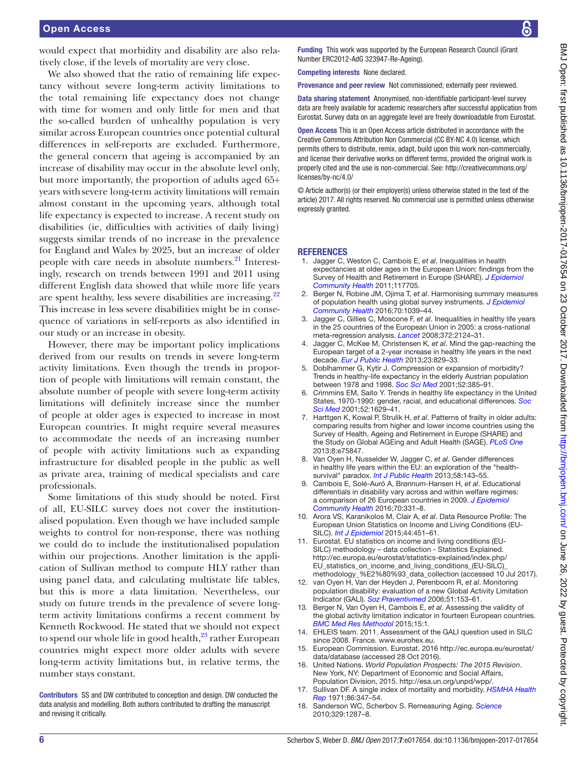would expect that morbidity and disability are also relatively close, if the levels of mortality are very close.

We also showed that the ratio of remaining life expectancy without severe long-term activity limitations to the total remaining life expectancy does not change with time for women and only little for men and that the so-called burden of unhealthy population is very similar across European countries once potential cultural differences in self-reports are excluded. Furthermore, the general concern that ageing is accompanied by an increase of disability may occur in the absolute level only, but more importantly, the proportion of adults aged 65+ years withsevere long-term activity limitations will remain almost constant in the upcoming years, although total life expectancy is expected to increase. A recent study on disabilities (ie, difficulties with activities of daily living) suggests similar trends of no increase in the prevalence for England and Wales by 2025, but an increase of older people with care needs in absolute numbers.<sup>21</sup> Interestingly, research on trends between 1991 and 2011 using different English data showed that while more life years are spent healthy, less severe disabilities are increasing.<sup>22</sup> This increase in less severe disabilities might be in consequence of variations in self-reports as also identified in our study or an increase in obesity.

However, there may be important policy implications derived from our results on trends in severe long-term activity limitations. Even though the trends in proportion of people with limitations will remain constant, the absolute number of people with severe long-term activity limitations will definitely increase since the number of people at older ages is expected to increase in most European countries. It might require several measures to accommodate the needs of an increasing number of people with activity limitations such as expanding infrastructure for disabled people in the public as well as private area, training of medical specialists and care professionals.

Some limitations of this study should be noted. First of all, EU-SILC survey does not cover the institutionalised population. Even though we have included sample weights to control for non-response, there was nothing we could do to include the institutionalised population within our projections. Another limitation is the application of Sullivan method to compute HLY rather than using panel data, and calculating multistate life tables, but this is more a data limitation. Nevertheless, our study on future trends in the prevalence of severe longterm activity limitations confirms a recent comment by Kenneth Rockwood. He stated that we should not expect to spend our whole life in good health, $^{23}$  rather European countries might expect more older adults with severe long-term activity limitations but, in relative terms, the number stays constant.

Contributors SS and DW contributed to conception and design. DW conducted the data analysis and modelling. Both authors contributed to drafting the manuscript and revising it critically.

Funding This work was supported by the European Research Council (Grant Number ERC2012-AdG 323947-Re-Ageing).

Competing interests None declared.

Provenance and peer review Not commissioned; externally peer reviewed.

Data sharing statement Anonymised, non-identifiable participant-level survey data are freely available for academic researchers after successful application from Eurostat. Survey data on an aggregate level are freely downloadable from Eurostat.

Open Access This is an Open Access article distributed in accordance with the Creative Commons Attribution Non Commercial (CC BY-NC 4.0) license, which permits others to distribute, remix, adapt, build upon this work non-commercially, and license their derivative works on different terms, provided the original work is properly cited and the use is non-commercial. See: [http://creativecommons.org/](http://creativecommons.org/licenses/by-nc/4.0/) [licenses/by-nc/4.0/](http://creativecommons.org/licenses/by-nc/4.0/)

© Article author(s) (or their employer(s) unless otherwise stated in the text of the article) 2017. All rights reserved. No commercial use is permitted unless otherwise expressly granted.

# **REFERENCES**

- <span id="page-5-0"></span>1. Jagger C, Weston C, Cambois E, *et al*. Inequalities in health expectancies at older ages in the European Union: findings from the Survey of Health and Retirement in Europe (SHARE). *J Epidemiol Community Health* 2011;117705.
- 2. Berger N, Robine JM, Ojima T, *et al*. Harmonising summary measures of population health using global survey instruments. *[J Epidemiol](http://dx.doi.org/10.1136/jech-2015-206870)  [Community Health](http://dx.doi.org/10.1136/jech-2015-206870)* 2016;70:1039–44.
- 3. Jagger C, Gillies C, Moscone F, *et al*. Inequalities in healthy life years in the 25 countries of the European Union in 2005: a cross-national meta-regression analysis. *[Lancet](http://dx.doi.org/10.1016/S0140-6736(08)61594-9)* 2008;372:2124–31.
- <span id="page-5-1"></span>4. Jagger C, McKee M, Christensen K, *et al*. Mind the gap-reaching the European target of a 2-year increase in healthy life years in the next decade. *[Eur J Public Health](http://dx.doi.org/10.1093/eurpub/ckt030)* 2013;23:829–33.
- <span id="page-5-2"></span>5. Doblhammer G, Kytir J. Compression or expansion of morbidity? Trends in healthy-life expectancy in the elderly Austrian population between 1978 and 1998. *[Soc Sci Med](http://dx.doi.org/10.1016/S0277-9536(00)00141-6)* 2001;52:385–91.
- <span id="page-5-3"></span>6. Crimmins EM, Saito Y. Trends in healthy life expectancy in the United States, 1970-1990: gender, racial, and educational differences. *[Soc](http://dx.doi.org/10.1016/S0277-9536(00)00273-2)  [Sci Med](http://dx.doi.org/10.1016/S0277-9536(00)00273-2)* 2001;52:1629–41.
- <span id="page-5-4"></span>7. Harttgen K, Kowal P, Strulik H, *et al*. Patterns of frailty in older adults: comparing results from higher and lower income countries using the Survey of Health, Ageing and Retirement in Europe (SHARE) and the Study on Global AGEing and Adult Health (SAGE). *[PLoS One](http://dx.doi.org/10.1371/journal.pone.0075847)* 2013;8:e75847.
- <span id="page-5-5"></span>8. Van Oyen H, Nusselder W, Jagger C, *et al*. Gender differences in healthy life years within the EU: an exploration of the "healthsurvival" paradox. *[Int J Public Health](http://dx.doi.org/10.1007/s00038-012-0361-1)* 2013;58:143–55.
- 9. Cambois E, Solé-Auró A, Brønnum-Hansen H, *et al*. Educational differentials in disability vary across and within welfare regimes: a comparison of 26 European countries in 2009. *[J Epidemiol](http://dx.doi.org/10.1136/jech-2015-205978)  [Community Health](http://dx.doi.org/10.1136/jech-2015-205978)* 2016;70:331–8.
- <span id="page-5-6"></span>10. Arora VS, Karanikolos M, Clair A, *et al*. Data Resource Profile: The European Union Statistics on Income and Living Conditions (EU-SILC). *[Int J Epidemiol](http://dx.doi.org/10.1093/ije/dyv069)* 2015;44:451–61.
- <span id="page-5-7"></span>11. Eurostat. EU statistics on income and living conditions (EU-SILC) methodology – data collection - Statistics Explained. [http://ec.europa.eu/eurostat/statistics-explained/index.php/](http://ec.europa.eu/eurostat/statistics-explained/index.php/EU_statistics_on_income_and_living_conditions_(EU-SILC)_methodology_%E2%80%93_data_collection) [EU\\_statistics\\_on\\_income\\_and\\_living\\_conditions\\_\(EU-SILC\)\\_](http://ec.europa.eu/eurostat/statistics-explained/index.php/EU_statistics_on_income_and_living_conditions_(EU-SILC)_methodology_%E2%80%93_data_collection) [methodology\\_%E2%80%93\\_data\\_collection](http://ec.europa.eu/eurostat/statistics-explained/index.php/EU_statistics_on_income_and_living_conditions_(EU-SILC)_methodology_%E2%80%93_data_collection) (accessed 10 Jul 2017).
- <span id="page-5-8"></span>12. van Oyen H, Van der Heyden J, Perenboom R, *et al*. Monitoring population disability: evaluation of a new Global Activity Limitation Indicator (GALI). *[Soz Praventivmed](http://dx.doi.org/10.1007/s00038-006-0035-y)* 2006;51:153–61.
- <span id="page-5-9"></span>13. Berger N, Van Oyen H, Cambois E, *et al*. Assessing the validity of the global activity limitation indicator in fourteen European countries. *[BMC Med Res Methodol](http://dx.doi.org/10.1186/1471-2288-15-1)* 2015;15:1.
- <span id="page-5-10"></span>14. EHLEIS team. 2011. Assessment of the GALI question used in SILC since 2008. France. [www.eurohex.eu.](www.eurohex.eu)
- <span id="page-5-11"></span>15. European Commission. Eurostat. 2016 [http://ec.europa.eu/eurostat/](http://ec.europa.eu/eurostat/data/database) [data/database](http://ec.europa.eu/eurostat/data/database) (accessed 28 Oct 2016).
- <span id="page-5-12"></span>16. United Nations. *World Population Prospects: The 2015 Revision*. New York, NY: Department of Economic and Social Affairs, Population Division, 2015.<http://esa.un.org/unpd/wpp/>.
- <span id="page-5-13"></span>17. Sullivan DF. A single index of mortality and morbidity. *[HSMHA Health](http://dx.doi.org/10.2307/4594169)  [Rep](http://dx.doi.org/10.2307/4594169)* 1971;86:347–54.
- 18. Sanderson WC, Scherbov S. Remeasuring Aging. *[Science](http://dx.doi.org/10.1126/science.1193647)* 2010;329:1287–8.